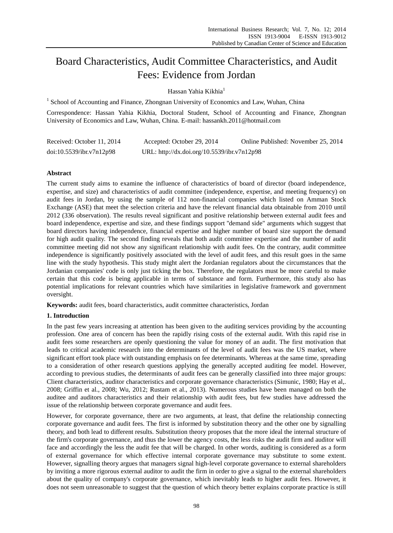# Board Characteristics, Audit Committee Characteristics, and Audit Fees: Evidence from Jordan

Hassan Yahia Kikhia<sup>1</sup>

<sup>1</sup> School of Accounting and Finance, Zhongnan University of Economics and Law, Wuhan, China

Correspondence: Hassan Yahia Kikhia, Doctoral Student, School of Accounting and Finance, Zhongnan University of Economics and Law, Wuhan, China. E-mail: hassankh.2011@hotmail.com

| Received: October 11, 2014 | Accepted: October 29, 2014                  | Online Published: November 25, 2014 |
|----------------------------|---------------------------------------------|-------------------------------------|
| doi:10.5539/ibr.v7n12p98   | URL: http://dx.doi.org/10.5539/ibr.v7n12p98 |                                     |

## **Abstract**

The current study aims to examine the influence of characteristics of board of director (board independence, expertise, and size) and characteristics of audit committee (independence, expertise, and meeting frequency) on audit fees in Jordan, by using the sample of 112 non-financial companies which listed on Amman Stock Exchange (ASE) that meet the selection criteria and have the relevant financial data obtainable from 2010 until 2012 (336 observation). The results reveal significant and positive relationship between external audit fees and board independence, expertise and size, and these findings support ''demand side" arguments which suggest that board directors having independence, financial expertise and higher number of board size support the demand for high audit quality. The second finding reveals that both audit committee expertise and the number of audit committee meeting did not show any significant relationship with audit fees. On the contrary, audit committee independence is significantly positively associated with the level of audit fees, and this result goes in the same line with the study hypothesis. This study might alert the Jordanian regulators about the circumstances that the Jordanian companies' code is only just ticking the box. Therefore, the regulators must be more careful to make certain that this code is being applicable in terms of substance and form. Furthermore, this study also has potential implications for relevant countries which have similarities in legislative framework and government oversight.

**Keywords:** audit fees, board characteristics, audit committee characteristics, Jordan

## **1. Introduction**

In the past few years increasing at attention has been given to the auditing services providing by the accounting profession. One area of concern has been the rapidly rising costs of the external audit. With this rapid rise in audit fees some researchers are openly questioning the value for money of an audit. The first motivation that leads to critical academic research into the determinants of the level of audit fees was the US market, where significant effort took place with outstanding emphasis on fee determinants. Whereas at the same time, spreading to a consideration of other research questions applying the generally accepted auditing fee model. However, according to previous studies, the determinants of audit fees can be generally classified into three major groups: Client characteristics, auditor characteristics and corporate governance characteristics (Simunic, 1980; Hay et al,. 2008; Griffin et al., 2008; Wu, 2012; Rustam et al., 2013). Numerous studies have been managed on both the auditee and auditors characteristics and their relationship with audit fees, but few studies have addressed the issue of the relationship between corporate governance and audit fees.

However, for corporate governance, there are two arguments, at least, that define the relationship connecting corporate governance and audit fees. The first is informed by substitution theory and the other one by signalling theory, and both lead to different results. Substitution theory proposes that the more ideal the internal structure of the firm's corporate governance, and thus the lower the agency costs, the less risks the audit firm and auditor will face and accordingly the less the audit fee that will be charged. In other words, auditing is considered as a form of external governance for which effective internal corporate governance may substitute to some extent. However, signalling theory argues that managers signal high-level corporate governance to external shareholders by inviting a more rigorous external auditor to audit the firm in order to give a signal to the external shareholders about the quality of company's corporate governance, which inevitably leads to higher audit fees. However, it does not seem unreasonable to suggest that the question of which theory better explains corporate practice is still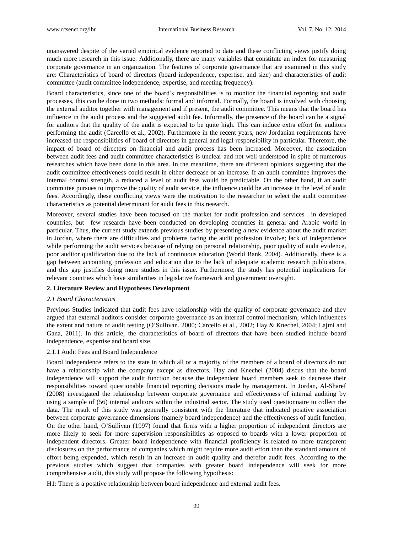unanswered despite of the varied empirical evidence reported to date and these conflicting views justify doing much more research in this issue. Additionally, there are many variables that constitute an index for measuring corporate governance in an organization. The features of corporate governance that are examined in this study are: Characteristics of board of directors (board independence, expertise, and size) and characteristics of audit committee (audit committee independence, expertise, and meeting frequency).

Board characteristics, since one of the board's responsibilities is to monitor the financial reporting and audit processes, this can be done in two methods: formal and informal. Formally, the board is involved with choosing the external auditor together with management and if present, the audit committee. This means that the board has influence in the audit process and the suggested audit fee. Informally, the presence of the board can be a signal for auditors that the quality of the audit is expected to be quite high. This can induce extra effort for auditors performing the audit (Carcello et al., 2002). Furthermore in the recent years, new Jordanian requirements have increased the responsibilities of board of directors in general and legal responsibility in particular. Therefore, the impact of board of directors on financial and audit process has been increased. Moreover, the association between audit fees and audit committee characteristics is unclear and not well understood in spite of numerous researches which have been done in this area. In the meantime, there are different opinions suggesting that the audit committee effectiveness could result in either decrease or an increase. If an audit committee improves the internal control strength, a reduced a level of audit fess would be predictable. On the other hand, if an audit committee pursues to improve the quality of audit service, the influence could be an increase in the level of audit fees. Accordingly, these conflicting views were the motivation to the researcher to select the audit committee characteristics as potential determinant for audit fees in this research.

Moreover, several studies have been focused on the market for audit profession and services in developed countries, but few research have been conducted on developing countries in general and Arabic world in particular. Thus, the current study extends previous studies by presenting a new evidence about the audit market in Jordan, where there are difficulties and problems facing the audit profession involve; lack of independence while performing the audit services because of relying on personal relationship, poor quality of audit evidence, poor auditor qualification due to the lack of continuous education (World Bank, 2004). Additionally, there is a gap between accounting profession and education due to the lack of adequate academic research publications, and this gap justifies doing more studies in this issue. Furthermore, the study has potential implications for relevant countries which have similarities in legislative framework and government oversight.

#### **2. Literature Review and Hypotheses Development**

#### *2.1 Board Characteristics*

Previous Studies indicated that audit fees have relationship with the quality of corporate governance and they argued that external auditors consider corporate governance as an internal control mechanism, which influences the extent and nature of audit testing (O'Sullivan, 2000; Carcello et al., 2002; Hay & Knechel, 2004; Lajmi and Gana, 2011). In this article, the characteristics of board of directors that have been studied include board independence, expertise and board size.

#### 2.1.1 Audit Fees and Board Independence

Board independence refers to the state in which all or a majority of the members of a board of directors do not have a relationship with the company except as directors. Hay and Knechel (2004) discus that the board independence will support the audit function because the independent board members seek to decrease their responsibilities toward questionable financial reporting decisions made by management. In Jordan, Al-Sharef (2008) investigated the relationship between corporate governance and effectiveness of internal auditing by using a sample of (56) internal auditors within the industrial sector. The study used questionnaire to collect the data. The result of this study was generally consistent with the literature that indicated positive association between corporate governance dimensions (namely board independence) and the effectiveness of audit function. On the other hand, O'Sullivan (1997) found that firms with a higher proportion of independent directors are more likely to seek for more supervision responsibilities as opposed to boards with a lower proportion of independent directors. Greater board independence with financial proficiency is related to more transparent disclosures on the performance of companies which might require more audit effort than the standard amount of effort being expended, which result in an increase in audit quality and therefor audit fees. According to the previous studies which suggest that companies with greater board independence will seek for more comprehensive audit, this study will propose the following hypothesis:

H1: There is a positive relationship between board independence and external audit fees.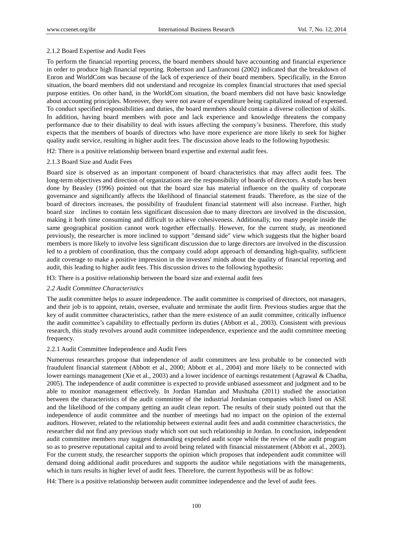## 2.1.2 Board Expertise and Audit Fees

To perform the financial reporting process, the board members should have accounting and financial experience in order to produce high financial reporting. Robertson and Lanfranconi (2002) indicated that the breakdown of Enron and WorldCom was because of the lack of experience of their board members. Specifically, in the Enron situation, the board members did not understand and recognize its complex financial structures that used special purpose entities. On other hand, in the WorldCom situation, the board members did not have basic knowledge about accounting principles. Moreover, they were not aware of expenditure being capitalized instead of expensed. To conduct specified responsibilities and duties, the board members should contain a diverse collection of skills. In addition, having board members with poor and lack experience and knowledge threatens the company performance due to their disability to deal with issues affecting the company's business. Therefore, this study expects that the members of boards of directors who have more experience are more likely to seek for higher quality audit service, resulting in higher audit fees. The discussion above leads to the following hypothesis:

H2: There is a positive relationship between board expertise and external audit fees.

#### 2.1.3 Board Size and Audit Fees

Board size is observed as an important component of board characteristics that may affect audit fees. The long-term objectives and direction of organizations are the responsibility of boards of directors. A study has been done by Beasley (1996) pointed out that the board size has material influence on the quality of corporate governance and significantly affects the likelihood of financial statement frauds. Therefore, as the size of the board of directors increases, the possibility of fraudulent financial statement will also increase. Further, high board size inclines to contain less significant discussion due to many directors are involved in the discussion, making it both time consuming and difficult to achieve cohesiveness. Additionally, too many people inside the same geographical position cannot work together effectually. However, for the current study, as mentioned previously, the researcher is more inclined to support "demand side" view which suggests that the higher board members is more likely to involve less significant discussion due to large directors are involved in the discussion led to a problem of coordination, thus the company could adopt approach of demanding high-quality, sufficient audit coverage to make a positive impression in the investors' minds about the quality of financial reporting and audit, this leading to higher audit fees. This discussion drives to the following hypothesis:

H3: There is a positive relationship between the board size and external audit fees

#### *2.2 Audit Committee Characteristics*

The audit committee helps to assure independence. The audit committee is comprised of directors, not managers, and their job is to appoint, retain, oversee, evaluate and terminate the audit firm. Previous studies argue that the key of audit committee characteristics, rather than the mere existence of an audit committee, critically influence the audit committee's capability to effectually perform its duties (Abbott et al., 2003). Consistent with previous research, this study revolves around audit committee independence, experience and the audit committee meeting frequency.

## 2.2.1 Audit Committee Independence and Audit Fees

Numerous researches propose that independence of audit committees are less probable to be connected with fraudulent financial statement (Abbott et al., 2000; Abbott et al., 2004) and more likely to be connected with lower earnings management (Xie et al., 2003) and a lower incidence of earnings restatement (Agrawal & Chadha, 2005). The independence of audit committee is expected to provide unbiased assessment and judgment and to be able to monitor management effectively. In Jordan Hamdan and Mushtaha (2011) studied the association between the characteristics of the audit committee of the industrial Jordanian companies which listed on ASE and the likelihood of the company getting an audit clean report. The results of their study pointed out that the independence of audit committee and the number of meetings had no impact on the opinion of the external auditors. However, related to the relationship between external audit fees and audit committee characteristics, the researcher did not find any previous study which sort out such relationship in Jordan. In conclusion, independent audit committee members may suggest demanding expended audit scope while the review of the audit program so as to preserve reputational capital and to avoid being related with financial misstatement (Abbott et al., 2003). For the current study, the researcher supports the opinion which proposes that independent audit committee will demand doing additional audit procedures and supports the auditor while negotiations with the managements, which in turn results in higher level of audit fees. Therefore, the current hypothesis will be as follow:

H4: There is a positive relationship between audit committee independence and the level of audit fees.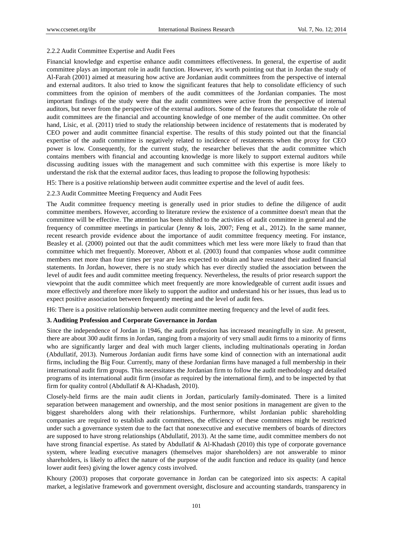## 2.2.2 Audit Committee Expertise and Audit Fees

Financial knowledge and expertise enhance audit committees effectiveness. In general, the expertise of audit committee plays an important role in audit function. However, it's worth pointing out that in Jordan the study of Al-Farah (2001) aimed at measuring how active are Jordanian audit committees from the perspective of internal and external auditors. It also tried to know the significant features that help to consolidate efficiency of such committees from the opinion of members of the audit committees of the Jordanian companies. The most important findings of the study were that the audit committees were active from the perspective of internal auditors, but never from the perspective of the external auditors. Some of the features that consolidate the role of audit committees are the financial and accounting knowledge of one member of the audit committee. On other hand, Lisic, et al. (2011) tried to study the relationship between incidence of restatements that is moderated by CEO power and audit committee financial expertise. The results of this study pointed out that the financial expertise of the audit committee is negatively related to incidence of restatements when the proxy for CEO power is low. Consequently, for the current study, the researcher believes that the audit committee which contains members with financial and accounting knowledge is more likely to support external auditors while discussing auditing issues with the management and such committee with this expertise is more likely to understand the risk that the external auditor faces, thus leading to propose the following hypothesis:

H5: There is a positive relationship between audit committee expertise and the level of audit fees.

## 2.2.3 Audit Committee Meeting Frequency and Audit Fees

The Audit committee frequency meeting is generally used in prior studies to define the diligence of audit committee members. However, according to literature review the existence of a committee doesn't mean that the committee will be effective. The attention has been shifted to the activities of audit committee in general and the frequency of committee meetings in particular (Jenny & lois, 2007; Feng et al., 2012). In the same manner, recent research provide evidence about the importance of audit committee frequency meeting. For instance, Beasley et al. (2000) pointed out that the audit committees which met less were more likely to fraud than that committee which met frequently. Moreover, Abbott et al. (2003) found that companies whose audit committee members met more than four times per year are less expected to obtain and have restated their audited financial statements. In Jordan, however, there is no study which has ever directly studied the association between the level of audit fees and audit committee meeting frequency. Nevertheless, the results of prior research support the viewpoint that the audit committee which meet frequently are more knowledgeable of current audit issues and more effectively and therefore more likely to support the auditor and understand his or her issues, thus lead us to expect positive association between frequently meeting and the level of audit fees.

H6: There is a positive relationship between audit committee meeting frequency and the level of audit fees.

## **3. Auditing Profession and Corporate Governance in Jordan**

Since the independence of Jordan in 1946, the audit profession has increased meaningfully in size. At present, there are about 300 audit firms in Jordan, ranging from a majority of very small audit firms to a minority of firms who are significantly larger and deal with much larger clients, including multinationals operating in Jordan (Abdullatif, 2013). Numerous Jordanian audit firms have some kind of connection with an international audit firms, including the Big Four. Currently, many of these Jordanian firms have managed a full membership in their international audit firm groups. This necessitates the Jordanian firm to follow the audit methodology and detailed programs of its international audit firm (insofar as required by the international firm), and to be inspected by that firm for quality control (Abdullatif & Al-Khadash, 2010).

Closely-held firms are the main audit clients in Jordan, particularly family-dominated. There is a limited separation between management and ownership, and the most senior positions in management are given to the biggest shareholders along with their relationships. Furthermore, whilst Jordanian public shareholding companies are required to establish audit committees, the efficiency of these committees might be restricted under such a governance system due to the fact that nonexecutive and executive members of boards of directors are supposed to have strong relationships (Abdullatif, 2013). At the same time, audit committee members do not have strong financial expertise. As stated by Abdullatif & Al-Khadash (2010) this type of corporate governance system, where leading executive managers (themselves major shareholders) are not answerable to minor shareholders, is likely to affect the nature of the purpose of the audit function and reduce its quality (and hence lower audit fees) giving the lower agency costs involved.

Khoury (2003) proposes that corporate governance in Jordan can be categorized into six aspects: A capital market, a legislative framework and government oversight, disclosure and accounting standards, transparency in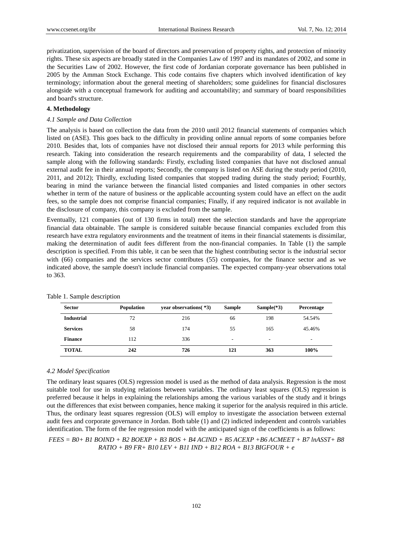privatization, supervision of the board of directors and preservation of property rights, and protection of minority rights. These six aspects are broadly stated in the Companies Law of 1997 and its mandates of 2002, and some in the Securities Law of 2002. However, the first code of Jordanian corporate governance has been published in 2005 by the Amman Stock Exchange. This code contains five chapters which involved identification of key terminology; information about the general meeting of shareholders; some guidelines for financial disclosures alongside with a conceptual framework for auditing and accountability; and summary of board responsibilities and board's structure.

## **4. Methodology**

#### *4.1 Sample and Data Collection*

The analysis is based on collection the data from the 2010 until 2012 financial statements of companies which listed on (ASE). This goes back to the difficulty in providing online annual reports of some companies before 2010. Besides that, lots of companies have not disclosed their annual reports for 2013 while performing this research. Taking into consideration the research requirements and the comparability of data, I selected the sample along with the following standards: Firstly, excluding listed companies that have not disclosed annual external audit fee in their annual reports; Secondly, the company is listed on ASE during the study period (2010, 2011, and 2012); Thirdly, excluding listed companies that stopped trading during the study period; Fourthly, bearing in mind the variance between the financial listed companies and listed companies in other sectors whether in term of the nature of business or the applicable accounting system could have an effect on the audit fees, so the sample does not comprise financial companies; Finally, if any required indicator is not available in the disclosure of company, this company is excluded from the sample.

Eventually, 121 companies (out of 130 firms in total) meet the selection standards and have the appropriate financial data obtainable. The sample is considered suitable because financial companies excluded from this research have extra regulatory environments and the treatment of items in their financial statements is dissimilar, making the determination of audit fees different from the non-financial companies. In Table (1) the sample description is specified. From this table, it can be seen that the highest contributing sector is the industrial sector with (66) companies and the services sector contributes (55) companies, for the finance sector and as we indicated above, the sample doesn't include financial companies. The expected company-year observations total to 363.

| <b>Sector</b>     | <b>Population</b> | year observations (*3) | <b>Sample</b> | Sample $(*3)$            | Percentage               |
|-------------------|-------------------|------------------------|---------------|--------------------------|--------------------------|
| <b>Industrial</b> | 72                | 216                    | 66            | 198                      | 54.54%                   |
| <b>Services</b>   | 58                | 174                    | 55            | 165                      | 45.46%                   |
| <b>Finance</b>    | 112               | 336                    | ۰             | $\overline{\phantom{a}}$ | $\overline{\phantom{a}}$ |
| <b>TOTAL</b>      | 242               | 726                    | 121           | 363                      | 100%                     |

Table 1. Sample description

#### *4.2 Model Specification*

The ordinary least squares (OLS) regression model is used as the method of data analysis. Regression is the most suitable tool for use in studying relations between variables. The ordinary least squares (OLS) regression is preferred because it helps in explaining the relationships among the various variables of the study and it brings out the differences that exist between companies, hence making it superior for the analysis required in this article. Thus, the ordinary least squares regression (OLS) will employ to investigate the association between external audit fees and corporate governance in Jordan. Both table (1) and (2) indicted independent and controls variables identification. The form of the fee regression model with the anticipated sign of the coefficients is as follows:

$$
FEES = B0 + B1 BOIND + B2 BOEXP + B3 BOS + B4 ACIND + B5 ACEXP + B6 ACMEET + B7 InASST + B8 RATIO + B9 FR + B10 LEV + B11 IND + B12 ROA + B13 BIGFOUR + e
$$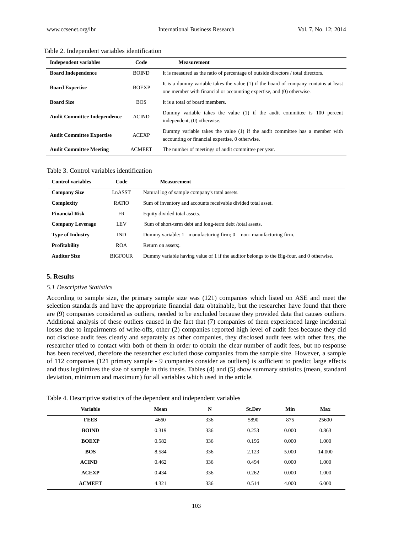## Table 2. Independent variables identification

| <b>Independent variables</b>        | Code          | <b>Measurement</b>                                                                                                                                            |
|-------------------------------------|---------------|---------------------------------------------------------------------------------------------------------------------------------------------------------------|
| <b>Board Independence</b>           | <b>BOIND</b>  | It is measured as the ratio of percentage of outside directors / total directors.                                                                             |
| <b>Board Expertise</b>              | <b>BOEXP</b>  | It is a dummy variable takes the value (1) if the board of company contains at least<br>one member with financial or accounting expertise, and (0) otherwise. |
| <b>Board Size</b>                   | <b>BOS</b>    | It is a total of board members.                                                                                                                               |
| <b>Audit Committee Independence</b> | <b>ACIND</b>  | Dummy variable takes the value (1) if the audit committee is 100 percent<br>independent, (0) otherwise.                                                       |
| <b>Audit Committee Expertise</b>    | <b>ACEXP</b>  | Dummy variable takes the value (1) if the audit committee has a member with<br>accounting or financial expertise, 0 otherwise.                                |
| <b>Audit Committee Meeting</b>      | <b>ACMEET</b> | The number of meetings of audit committee per year.                                                                                                           |

Table 3. Control variables identification

| <b>Control variables</b> | Code           | <b>Measurement</b>                                                                        |
|--------------------------|----------------|-------------------------------------------------------------------------------------------|
| <b>Company Size</b>      | LnASST         | Natural log of sample company's total assets.                                             |
| Complexity               | <b>RATIO</b>   | Sum of inventory and accounts receivable divided total asset.                             |
| <b>Financial Risk</b>    | <b>FR</b>      | Equity divided total assets.                                                              |
| <b>Company Leverage</b>  | <b>LEV</b>     | Sum of short-term debt and long-term debt /total assets.                                  |
| <b>Type of Industry</b>  | <b>IND</b>     | Dummy variable: $1 =$ manufacturing firm; $0 =$ non- manufacturing firm.                  |
| <b>Profitability</b>     | <b>ROA</b>     | Return on assets:.                                                                        |
| <b>Auditor Size</b>      | <b>BIGFOUR</b> | Dummy variable having value of 1 if the auditor belongs to the Big-four, and 0 otherwise. |

#### **5. Results**

#### *5.1 Descriptive Statistics*

According to sample size, the primary sample size was (121) companies which listed on ASE and meet the selection standards and have the appropriate financial data obtainable, but the researcher have found that there are (9) companies considered as outliers, needed to be excluded because they provided data that causes outliers. Additional analysis of these outliers caused in the fact that (7) companies of them experienced large incidental losses due to impairments of write-offs, other (2) companies reported high level of audit fees because they did not disclose audit fees clearly and separately as other companies, they disclosed audit fees with other fees, the researcher tried to contact with both of them in order to obtain the clear number of audit fees, but no response has been received, therefore the researcher excluded those companies from the sample size. However, a sample of 112 companies (121 primary sample - 9 companies consider as outliers) is sufficient to predict large effects and thus legitimizes the size of sample in this thesis. Tables (4) and (5) show summary statistics (mean, standard deviation, minimum and maximum) for all variables which used in the article.

|  |  |  | Table 4. Descriptive statistics of the dependent and independent variables |
|--|--|--|----------------------------------------------------------------------------|
|  |  |  |                                                                            |

| <b>Variable</b> | Mean  | N   | <b>St.Dev</b> | Min   | <b>Max</b> |
|-----------------|-------|-----|---------------|-------|------------|
| <b>FEES</b>     | 4660  | 336 | 5890          | 875   | 25600      |
| <b>BOIND</b>    | 0.319 | 336 | 0.253         | 0.000 | 0.863      |
| <b>BOEXP</b>    | 0.582 | 336 | 0.196         | 0.000 | 1.000      |
| <b>BOS</b>      | 8.584 | 336 | 2.123         | 5.000 | 14.000     |
| <b>ACIND</b>    | 0.462 | 336 | 0.494         | 0.000 | 1.000      |
| <b>ACEXP</b>    | 0.434 | 336 | 0.262         | 0.000 | 1.000      |
| <b>ACMEET</b>   | 4.321 | 336 | 0.514         | 4.000 | 6.000      |
|                 |       |     |               |       |            |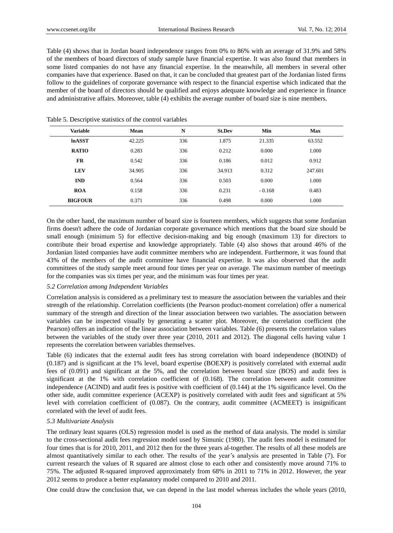Table (4) shows that in Jordan board independence ranges from 0% to 86% with an average of 31.9% and 58% of the members of board directors of study sample have financial expertise. It was also found that members in some listed companies do not have any financial expertise. In the meanwhile, all members in several other companies have that experience. Based on that, it can be concluded that greatest part of the Jordanian listed firms follow to the guidelines of corporate governance with respect to the financial expertise which indicated that the member of the board of directors should be qualified and enjoys adequate knowledge and experience in finance and administrative affairs. Moreover, table (4) exhibits the average number of board size is nine members.

| <b>Variable</b> | Mean   | N   | <b>St.Dev</b> | Min      | <b>Max</b> |
|-----------------|--------|-----|---------------|----------|------------|
| <b>InASST</b>   | 42.225 | 336 | 1.875         | 21.335   | 63.552     |
| <b>RATIO</b>    | 0.283  | 336 | 0.212         | 0.000    | 1.000      |
| FR              | 0.542  | 336 | 0.186         | 0.012    | 0.912      |
| <b>LEV</b>      | 34.905 | 336 | 34.913        | 0.312    | 247.601    |
| <b>IND</b>      | 0.564  | 336 | 0.503         | 0.000    | 1.000      |
| <b>ROA</b>      | 0.158  | 336 | 0.231         | $-0.168$ | 0.483      |
| <b>BIGFOUR</b>  | 0.371  | 336 | 0.498         | 0.000    | 1.000      |

Table 5. Descriptive statistics of the control variables

On the other hand, the maximum number of board size is fourteen members, which suggests that some Jordanian firms doesn't adhere the code of Jordanian corporate governance which mentions that the board size should be small enough (minimum 5) for effective decision-making and big enough (maximum 13) for directors to contribute their broad expertise and knowledge appropriately. Table (4) also shows that around 46% of the Jordanian listed companies have audit committee members who are independent. Furthermore, it was found that 43% of the members of the audit committee have financial expertise. It was also observed that the audit committees of the study sample meet around four times per year on average. The maximum number of meetings for the companies was six times per year, and the minimum was four times per year.

#### *5.2 Correlation among Independent Variables*

Correlation analysis is considered as a preliminary test to measure the association between the variables and their strength of the relationship. Correlation coefficients (the Pearson product-moment correlation) offer a numerical summary of the strength and direction of the linear association between two variables. The association between variables can be inspected visually by generating a scatter plot. Moreover, the correlation coefficient (the Pearson) offers an indication of the linear association between variables. Table (6) presents the correlation values between the variables of the study over three year (2010, 2011 and 2012). The diagonal cells having value 1 represents the correlation between variables themselves.

Table (6) indicates that the external audit fees has strong correlation with board independence (BOIND) of (0.187) and is significant at the 1% level, board expertise (BOEXP) is positively correlated with external audit fees of (0.091) and significant at the 5%, and the correlation between board size (BOS) and audit fees is significant at the 1% with correlation coefficient of (0.168). The correlation between audit committee independence (ACIND) and audit fees is positive with coefficient of (0.144) at the 1% significance level. On the other side, audit committee experience (ACEXP) is positively correlated with audit fees and significant at 5% level with correlation coefficient of (0.087). On the contrary, audit committee (ACMEET) is insignificant correlated with the level of audit fees.

#### *5.3 Multivariate Analysis*

The ordinary least squares (OLS) regression model is used as the method of data analysis. The model is similar to the cross-sectional audit fees regression model used by Simunic (1980). The audit fees model is estimated for four times that is for 2010, 2011, and 2012 then for the three years al-together. The results of all these models are almost quantitatively similar to each other. The results of the year's analysis are presented in Table (7). For current research the values of R squared are almost close to each other and consistently move around 71% to 75%. The adjusted R-squared improved approximately from 68% in 2011 to 71% in 2012. However, the year 2012 seems to produce a better explanatory model compared to 2010 and 2011.

One could draw the conclusion that, we can depend in the last model whereas includes the whole years (2010,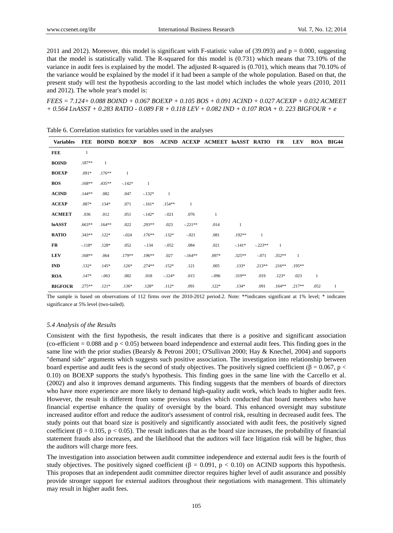2011 and 2012). Moreover, this model is significant with F-statistic value of (39.093) and  $p = 0.000$ , suggesting that the model is statistically valid. The R-squared for this model is (0.731) which means that 73.10% of the variance in audit fees is explained by the model. The adjusted R-squared is (0.701), which means that 70.10% of the variance would be explained by the model if it had been a sample of the whole population. Based on that, the present study will test the hypothesis according to the last model which includes the whole years (2010, 2011 and 2012). The whole year's model is:

 $FEES = 7.124 + 0.088 BOIND + 0.067 BOEXP + 0.105 BOS + 0.091 ACIND + 0.027 ACEXP + 0.032 ACMEET$  $+ 0.564$  LnASST + 0.283 RATIO - 0.089 FR + 0.118 LEV + 0.082 IND + 0.107 ROA + 0.223 BIGFOUR + e

| <b>Variables</b> | FEE          |              | <b>BOIND BOEXP</b> | <b>BOS</b>   |              |              | ACIND ACEXP ACMEET InASST RATIO |              |              | FR           | <b>LEV</b>   | <b>ROA</b>   | <b>BIG44</b> |
|------------------|--------------|--------------|--------------------|--------------|--------------|--------------|---------------------------------|--------------|--------------|--------------|--------------|--------------|--------------|
| <b>FEE</b>       | $\mathbf{1}$ |              |                    |              |              |              |                                 |              |              |              |              |              |              |
| <b>BOIND</b>     | $.187**$     | $\mathbf{1}$ |                    |              |              |              |                                 |              |              |              |              |              |              |
| <b>BOEXP</b>     | $.091*$      | $.176**$     | $\mathbf{1}$       |              |              |              |                                 |              |              |              |              |              |              |
| <b>BOS</b>       | $.168**$     | $.435***$    | $-.142*$           | $\mathbf{1}$ |              |              |                                 |              |              |              |              |              |              |
| <b>ACIND</b>     | $.144**$     | .082         | .047               | $-.132*$     | $\mathbf{1}$ |              |                                 |              |              |              |              |              |              |
| <b>ACEXP</b>     | $.087*$      | $.134*$      | .071               | $-.161*$     | $.154**$     | $\mathbf{1}$ |                                 |              |              |              |              |              |              |
| <b>ACMEET</b>    | .036         | .012         | .051               | $-.142*$     | $-.021$      | .076         | $\mathbf{1}$                    |              |              |              |              |              |              |
| <b>InASST</b>    | $.663**$     | $.164**$     | .022               | .293**       | .023         | $-.221**$    | .014                            | $\mathbf{1}$ |              |              |              |              |              |
| <b>RATIO</b>     | $.343**$     | $.122*$      | $-.024$            | $.176***$    | $.132*$      | $-.021$      | .081                            | $.192**$     | $\mathbf{1}$ |              |              |              |              |
| FR               | $-.118*$     | $.128*$      | .052               | $-.134$      | $-.052$      | .084         | .021                            | $-.141*$     | $-.223**$    | $\mathbf{1}$ |              |              |              |
| <b>LEV</b>       | $.168**$     | .064         | .179**             | $.196**$     | .027         | $-.164**$    | .097*                           | $.325**$     | $-.071$      | $.352**$     | $\mathbf{1}$ |              |              |
| <b>IND</b>       | $.132*$      | $.145*$      | $.126*$            | $.274**$     | $.152*$      | .121         | .005                            | $.133*$      | $.213**$     | $.216**$     | $.195***$    |              |              |
| <b>ROA</b>       | $.147*$      | $-.063$      | .082               | .018         | $-.124*$     | .015         | $-.096$                         | .319**       | .019         | $.123*$      | .023         | $\mathbf{1}$ |              |
| <b>BIGFOUR</b>   | $.275**$     | $.121*$      | $.136*$            | $.128*$      | $.112*$      | .091         | $.122*$                         | $.134*$      | .091         | $.164**$     | $.217**$     | .052         | $\mathbf{1}$ |

Table 6. Correlation statistics for variables used in the analyses

The sample is based on observations of 112 firms over the 2010-2012 period.2. Note: \*\*indicates significant at 1% level; \* indicates significance at 5% level (two-tailed).

#### *5.4 Analysis of the Results*

Consistent with the first hypothesis, the result indicates that there is a positive and significant association (co-efficient  $= 0.088$  and  $p < 0.05$ ) between board independence and external audit fees. This finding goes in the same line with the prior studies (Bearsly & Petroni 2001; O'Sullivan 2000; Hay & Knechel, 2004) and supports "demand side" arguments which suggests such positive association. The investigation into relationship between board expertise and audit fees is the second of study objectives. The positively signed coefficient ( $\beta$  = 0.067, p < 0.10) on BOEXP supports the study's hypothesis. This finding goes in the same line with the Carcello et al. (2002) and also it improves demand arguments. This finding suggests that the members of boards of directors who have more experience are more likely to demand high-quality audit work, which leads to higher audit fees. However, the result is different from some previous studies which conducted that board members who have financial expertise enhance the quality of oversight by the board. This enhanced oversight may substitute increased auditor effort and reduce the auditor's assessment of control risk, resulting in decreased audit fees. The study points out that board size is positively and significantly associated with audit fees, the positively signed coefficient ( $\beta = 0.105$ , p < 0.05). The result indicates that as the board size increases, the probability of financial statement frauds also increases, and the likelihood that the auditors will face litigation risk will be higher, thus the auditors will charge more fees.

The investigation into association between audit committee independence and external audit fees is the fourth of study objectives. The positively signed coefficient ( $\beta = 0.091$ ,  $p < 0.10$ ) on ACIND supports this hypothesis. This proposes that an independent audit committee director requires higher level of audit assurance and possibly provide stronger support for external auditors throughout their negotiations with management. This ultimately may result in higher audit fees.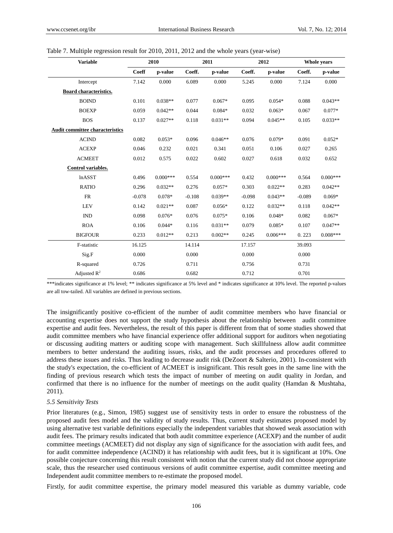|  | Table 7. Multiple regression result for 2010, 2011, 2012 and the whole years (year-wise) |  |  |  |
|--|------------------------------------------------------------------------------------------|--|--|--|
|  |                                                                                          |  |  |  |

| <b>Variable</b>                 |              | 2010       |          | 2011       |          | 2012       |          | <b>Whole years</b> |
|---------------------------------|--------------|------------|----------|------------|----------|------------|----------|--------------------|
|                                 | <b>Coeff</b> | p-value    | Coeff.   | p-value    | Coeff.   | p-value    | Coeff.   | p-value            |
| Intercept                       | 7.142        | 0.000      | 6.089    | 0.000      | 5.245    | 0.000      | 7.124    | 0.000              |
| Board characteristics.          |              |            |          |            |          |            |          |                    |
| <b>BOIND</b>                    | 0.101        | $0.038**$  | 0.077    | $0.067*$   | 0.095    | $0.054*$   | 0.088    | $0.043**$          |
| <b>BOEXP</b>                    | 0.059        | $0.042**$  | 0.044    | $0.084*$   | 0.032    | $0.063*$   | 0.067    | $0.077*$           |
| <b>BOS</b>                      | 0.137        | $0.027**$  | 0.118    | $0.031**$  | 0.094    | $0.045**$  | 0.105    | $0.033**$          |
| Audit committee characteristics |              |            |          |            |          |            |          |                    |
| <b>ACIND</b>                    | 0.082        | $0.053*$   | 0.096    | $0.046**$  | 0.076    | $0.079*$   | 0.091    | $0.052*$           |
| <b>ACEXP</b>                    | 0.046        | 0.232      | 0.021    | 0.341      | 0.051    | 0.106      | 0.027    | 0.265              |
| <b>ACMEET</b>                   | 0.012        | 0.575      | 0.022    | 0.602      | 0.027    | 0.618      | 0.032    | 0.652              |
| Control variables.              |              |            |          |            |          |            |          |                    |
| <b>lnASST</b>                   | 0.496        | $0.000***$ | 0.554    | $0.000***$ | 0.432    | $0.000***$ | 0.564    | $0.000***$         |
| <b>RATIO</b>                    | 0.296        | $0.032**$  | 0.276    | $0.057*$   | 0.303    | $0.022**$  | 0.283    | $0.042**$          |
| <b>FR</b>                       | $-0.078$     | $0.078*$   | $-0.108$ | $0.039**$  | $-0.098$ | $0.043**$  | $-0.089$ | $0.069*$           |
| <b>LEV</b>                      | 0.142        | $0.021**$  | 0.087    | $0.056*$   | 0.122    | $0.032**$  | 0.118    | $0.042**$          |
| $\mathbf{IND}$                  | 0.098        | $0.076*$   | 0.076    | $0.075*$   | 0.106    | $0.048*$   | 0.082    | $0.067*$           |
| <b>ROA</b>                      | 0.106        | $0.044*$   | 0.116    | $0.031**$  | 0.079    | $0.085*$   | 0.107    | $0.047**$          |
| <b>BIGFOUR</b>                  | 0.233        | $0.012**$  | 0.213    | $0.002**$  | 0.245    | $0.006***$ | 0.223    | $0.008***$         |
| F-statistic                     | 16.125       |            | 14.114   |            | 17.157   |            | 39.093   |                    |
| Sig.F                           | 0.000        |            | 0.000    |            | 0.000    |            | 0.000    |                    |
| R-squared                       | 0.726        |            | 0.711    |            | 0.756    |            | 0.731    |                    |
| Adjusted $R^2$                  | 0.686        |            | 0.682    |            | 0.712    |            | 0.701    |                    |

\*\*\*indicates significance at 1% level; \*\* indicates significance at 5% level and \* indicates significance at 10% level. The reported p-values are all tow-tailed. All variables are defined in previous sections.

The insignificantly positive co-efficient of the number of audit committee members who have financial or accounting expertise does not support the study hypothesis about the relationship between audit committee expertise and audit fees. Nevertheless, the result of this paper is different from that of some studies showed that audit committee members who have financial experience offer additional support for auditors when negotiating or discussing auditing matters or auditing scope with management. Such skillfulness allow audit committee members to better understand the auditing issues, risks, and the audit processes and procedures offered to address these issues and risks. Thus leading to decrease audit risk (DeZoort & Salterio, 2001). In-consistent with the study's expectation, the co-efficient of ACMEET is insignificant. This result goes in the same line with the finding of previous research which tests the impact of number of meeting on audit quality in Jordan, and confirmed that there is no influence for the number of meetings on the audit quality (Hamdan & Mushtaha, 2011).

#### *5.5 Sensitivity Tests*

Prior literatures (e.g., Simon, 1985) suggest use of sensitivity tests in order to ensure the robustness of the proposed audit fees model and the validity of study results. Thus, current study estimates proposed model by using alternative test variable definitions especially the independent variables that showed weak association with audit fees. The primary results indicated that both audit committee experience (ACEXP) and the number of audit committee meetings (ACMEET) did not display any sign of significance for the association with audit fees, and for audit committee independence (ACIND) it has relationship with audit fees, but it is significant at 10%. One possible conjecture concerning this result consistent with notion that the current study did not choose appropriate scale, thus the researcher used continuous versions of audit committee expertise, audit committee meeting and Independent audit committee members to re-estimate the proposed model.

Firstly, for audit committee expertise, the primary model measured this variable as dummy variable, code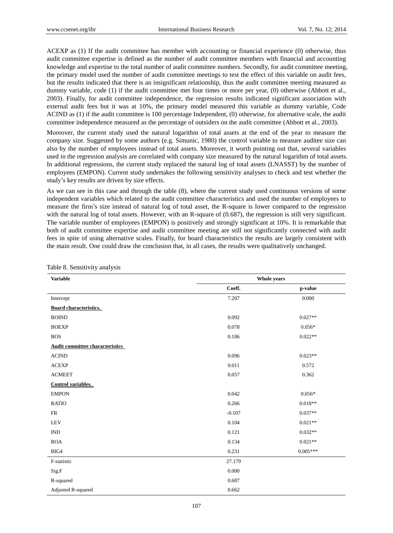ACEXP as (1) If the audit committee has member with accounting or financial experience (0) otherwise, thus audit committee expertise is defined as the number of audit committee members with financial and accounting knowledge and expertise to the total number of audit committee numbers. Secondly, for audit committee meeting, the primary model used the number of audit committee meetings to test the effect of this variable on audit fees, but the results indicated that there is an insignificant relationship, thus the audit committee meeting measured as dummy variable, code (1) if the audit committee met four times or more per year, (0) otherwise (Abbott et al., 2003). Finally, for audit committee independence, the regression results indicated significant association with external audit fees but it was at 10%, the primary model measured this variable as dummy variable, Code ACIND as (1) if the audit committee is 100 percentage Independent, (0) otherwise, for alternative scale, the audit committee independence measured as the percentage of outsiders on the audit committee (Abbott et al., 2003).

Moreover, the current study used the natural logarithm of total assets at the end of the year to measure the company size. Suggested by some authors (e.g. Simunic, 1980) the control variable to measure auditee size can also by the number of employees instead of total assets. Moreover, it worth pointing out that, several variables used in the regression analysis are correlated with company size measured by the natural logarithm of total assets. In additional regressions, the current study replaced the natural log of total assets (LNASST) by the number of employees (EMPON). Current study undertakes the following sensitivity analyses to check and test whether the study's key results are driven by size effects.

As we can see in this case and through the table (8), where the current study used continuous versions of some independent variables which related to the audit committee characteristics and used the number of employees to measure the firm's size instead of natural log of total asset, the R-square is lower compared to the regression with the natural log of total assets. However, with an R-square of (0.687), the regression is still very significant. The variable number of employees (EMPON) is positively and strongly significant at 10%. It is remarkable that both of audit committee expertise and audit committee meeting are still not significantly connected with audit fees in spite of using alternative scales. Finally, for board characteristics the results are largely consistent with the main result. One could draw the conclusion that, in all cases, the results were qualitatively unchanged.

| <b>Variable</b>                        | <b>Whole years</b> |            |  |  |  |
|----------------------------------------|--------------------|------------|--|--|--|
|                                        | Coeff.             | p-value    |  |  |  |
| Intercept                              | 7.207              | 0.000      |  |  |  |
| <b>Board characteristics.</b>          |                    |            |  |  |  |
| <b>BOIND</b>                           | 0.092              | $0.027**$  |  |  |  |
| <b>BOEXP</b>                           | 0.078              | $0.056*$   |  |  |  |
| <b>BOS</b>                             | 0.106              | $0.022**$  |  |  |  |
| <b>Audit committee characteristics</b> |                    |            |  |  |  |
| <b>ACIND</b>                           | 0.096              | $0.023**$  |  |  |  |
| <b>ACEXP</b>                           | 0.011              | 0.572      |  |  |  |
| <b>ACMEET</b>                          | 0.057              | 0.362      |  |  |  |
| Control variables.                     |                    |            |  |  |  |
| <b>EMPON</b>                           | 0.042              | $0.056*$   |  |  |  |
| <b>RATIO</b>                           | 0.266              | $0.018**$  |  |  |  |
| FR                                     | $-0.107$           | $0.037**$  |  |  |  |
| <b>LEV</b>                             | 0.104              | $0.021**$  |  |  |  |
| $\mathop{\rm IND}\nolimits$            | 0.121              | $0.032**$  |  |  |  |
| <b>ROA</b>                             | 0.134              | $0.021**$  |  |  |  |
| BIG4                                   | 0.231              | $0.005***$ |  |  |  |
| F-statistic                            | 27.179             |            |  |  |  |
| Sig.F                                  | 0.000              |            |  |  |  |
| R-squared                              | 0.687              |            |  |  |  |
| Adjusted R-squared                     | 0.662              |            |  |  |  |

Table 8. Sensitivity analysis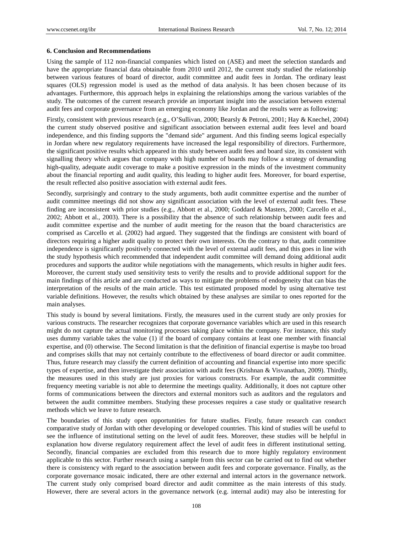#### **6. Conclusion and Recommendations**

Using the sample of 112 non-financial companies which listed on (ASE) and meet the selection standards and have the appropriate financial data obtainable from 2010 until 2012, the current study studied the relationship between various features of board of director, audit committee and audit fees in Jordan. The ordinary least squares (OLS) regression model is used as the method of data analysis. It has been chosen because of its advantages. Furthermore, this approach helps in explaining the relationships among the various variables of the study. The outcomes of the current research provide an important insight into the association between external audit fees and corporate governance from an emerging economy like Jordan and the results were as following:

Firstly, consistent with previous research (e.g., O'Sullivan, 2000; Bearsly & Petroni, 2001; Hay & Knechel, 2004) the current study observed positive and significant association between external audit fees level and board independence, and this finding supports the "demand side" argument. And this finding seems logical especially in Jordan where new regulatory requirements have increased the legal responsibility of directors. Furthermore, the significant positive results which appeared in this study between audit fees and board size, its consistent with signalling theory which argues that company with high number of boards may follow a strategy of demanding high-quality, adequate audit coverage to make a positive expression in the minds of the investment community about the financial reporting and audit quality, this leading to higher audit fees. Moreover, for board expertise, the result reflected also positive association with external audit fees.

Secondly, surprisingly and contrary to the study arguments, both audit committee expertise and the number of audit committee meetings did not show any significant association with the level of external audit fees. These finding are inconsistent with prior studies (e.g., Abbott et al., 2000; Goddard & Masters, 2000; Carcello et al., 2002; Abbott et al., 2003). There is a possibility that the absence of such relationship between audit fees and audit committee expertise and the number of audit meeting for the reason that the board characteristics are comprised as Carcello et al. (2002) had argued. They suggested that the findings are consistent with board of directors requiring a higher audit quality to protect their own interests. On the contrary to that, audit committee independence is significantly positively connected with the level of external audit fees, and this goes in line with the study hypothesis which recommended that independent audit committee will demand doing additional audit procedures and supports the auditor while negotiations with the managements, which results in higher audit fees. Moreover, the current study used sensitivity tests to verify the results and to provide additional support for the main findings of this article and are conducted as ways to mitigate the problems of endogeneity that can bias the interpretation of the results of the main article. This test estimated proposed model by using alternative test variable definitions. However, the results which obtained by these analyses are similar to ones reported for the main analyses.

This study is bound by several limitations. Firstly, the measures used in the current study are only proxies for various constructs. The researcher recognizes that corporate governance variables which are used in this research might do not capture the actual monitoring processes taking place within the company. For instance, this study uses dummy variable takes the value (1) if the board of company contains at least one member with financial expertise, and (0) otherwise. The Second limitation is that the definition of financial expertise is maybe too broad and comprises skills that may not certainly contribute to the effectiveness of board director or audit committee. Thus, future research may classify the current definition of accounting and financial expertise into more specific types of expertise, and then investigate their association with audit fees (Krishnan & Visvanathan, 2009). Thirdly, the measures used in this study are just proxies for various constructs. For example, the audit committee frequency meeting variable is not able to determine the meetings quality. Additionally, it does not capture other forms of communications between the directors and external monitors such as auditors and the regulators and between the audit committee members. Studying these processes requires a case study or qualitative research methods which we leave to future research.

The boundaries of this study open opportunities for future studies. Firstly, future research can conduct comparative study of Jordan with other developing or developed countries. This kind of studies will be useful to see the influence of institutional setting on the level of audit fees. Moreover, these studies will be helpful in explanation how diverse regulatory requirement affect the level of audit fees in different institutional setting. Secondly, financial companies are excluded from this research due to more highly regulatory environment applicable to this sector. Further research using a sample from this sector can be carried out to find out whether there is consistency with regard to the association between audit fees and corporate governance. Finally, as the corporate governance mosaic indicated, there are other external and internal actors in the governance network. The current study only comprised board director and audit committee as the main interests of this study. However, there are several actors in the governance network (e.g. internal audit) may also be interesting for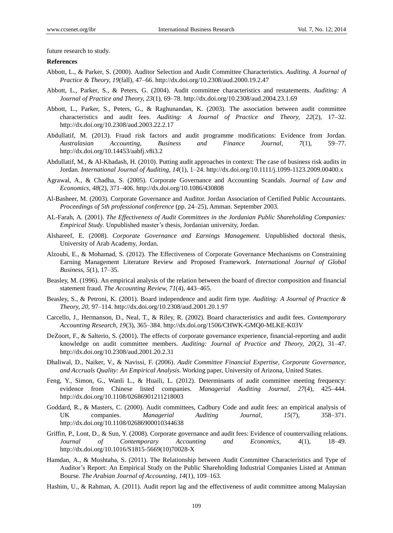future research to study.

#### **References**

- Abbott, L., & Parker, S. (2000). Auditor Selection and Audit Committee Characteristics*. Auditing. A Journal of Practice & Theory, 19*(fall), 47–66. http://dx.doi.org/10.2308/aud.2000.19.2.47
- Abbott, L., Parker, S., & Peters, G. (2004). Audit committee characteristics and restatements. *Auditing: A Journal of Practice and Theory, 23*(1), 69–78. http://dx.doi.org/10.2308/aud.2004.23.1.69
- Abbott, L., Parker, S., Peters, G., & Raghunandan, K. (2003). The association between audit committee characteristics and audit fees. *Auditing: A Journal of Practice and Theory, 22*(2), 17–32. http://dx.doi.org/10.2308/aud.2003.22.2.17
- Abdullatif, M. (2013). Fraud risk factors and audit programme modifications: Evidence from Jordan. *Australasian Accounting, Business and Finance Journal, 7*(1), 59–77. http://dx.doi.org/10.14453/aabfj.v8i3.2
- Abdullatif, M., & Al-Khadash, H. (2010). Putting audit approaches in context: The case of business risk audits in Jordan*. International Journal of Auditing, 14*(1), 1–24. http://dx.doi.org/10.1111/j.1099-1123.2009.00400.x
- Agrawal, A., & Chadha, S. (2005). Corporate Governance and Accounting Scandals. *Journal of Law and Economics, 48*(2), 371–406. http://dx.doi.org/10.1086/430808
- Al-Basheer, M. (2003). Corporate Governance and Auditor. Jordan Association of Certified Public Accountants. *Proceedings of 5th professional conference* (pp. 24–25), Amman. September 2003.
- AL-Farah, A. (2001). *The Effectiveness of Audit Committees in the Jordanian Public Shareholding Companies: Empirical Study*. Unpublished master's thesis, Jordanian university, Jordan.
- Alshareef, E. (2008). *Corporate Governance and Earnings Management*. Unpublished doctoral thesis, University of Arab Academy, Jordan.
- Alzoubi, E., & Mohamad, S. (2012). The Effectiveness of Corporate Governance Mechanisms on Constraining Earning Management Literature Review and Proposed Framework. *International Journal of Global Business, 5*(1), 17–35.
- Beasley, M. (1996). An empirical analysis of the relation between the board of director composition and financial statement fraud. *The Accounting Review, 71*(4), 443–465.
- Beasley, S., & Petroni, K. (2001). Board independence and audit firm type. *Auditing: A Journal of Practice & Theory, 20*, 97–114. http://dx.doi.org/10.2308/aud.2001.20.1.97
- Carcello, J., Hermanson, D., Neal, T., & Riley, R. (2002). Board characteristics and audit fees. *Contemporary Accounting Research, 19*(3), 365–384. http://dx.doi.org/1506/CHWK-GMQ0-MLKE-K03V
- DeZoort, F., & Salterio, S. (2001). The effects of corporate governance experience, financial-reporting and audit knowledge on audit committee members. *Auditing: Journal of Practice and Theory, 20*(2), 31–47. http://dx.doi.org/10.2308/aud.2001.20.2.31
- Dhaliwal, D., Naiker, V., & Navissi, F. (2006). *Audit Committee Financial Expertise, Corporate Governance, and Accruals Quality: An Empirical Analysis*. Working paper, University of Arizona, United States.
- Feng, Y., Simon, G., Wanli L., & Huaili, L. (2012). Determinants of audit committee meeting frequency: evidence from Chinese listed companies. *Managerial Auditing Journal, 27*(4), 425–444. http://dx.doi.org/10.1108/02686901211218003
- Goddard, R., & Masters, C. (2000). Audit committees, Cadbury Code and audit fees: an empirical analysis of UK companies. *Managerial Auditing Journal, 15*(7), 358–371. http://dx.doi.org/10.1108/02686900010344638
- Griffin, P., Lont, D., & Sun, Y. (2008). Corporate governance and audit fees: Evidence of countervailing relations. *Journal of Contemporary Accounting and Economics, 4*(1), 18–49. http://dx.doi.org/10.1016/S1815-5669(10)70028-X
- Hamdan, A., & Mushtaha, S. (2011). The Relationship between Audit Committee Characteristics and Type of Auditor's Report: An Empirical Study on the Public Shareholding Industrial Companies Listed at Amman Bourse. *The Arabian Journal of Accounting, 14*(1), 109–163.
- Hashim, U., & Rahman, A. (2011). Audit report lag and the effectiveness of audit committee among Malaysian